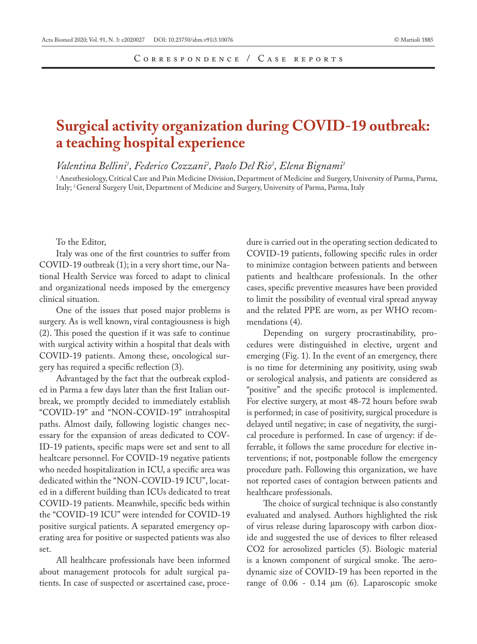## **Surgical activity organization during COVID-19 outbreak: a teaching hospital experience**

*Valentina Bellini1 , Federico Cozzani2 , Paolo Del Rio2 , Elena Bignami1*

1 Anesthesiology, Critical Care and Pain Medicine Division, Department of Medicine and Surgery, University of Parma, Parma, Italy; 2 General Surgery Unit, Department of Medicine and Surgery, University of Parma, Parma, Italy

## To the Editor,

Italy was one of the first countries to suffer from COVID-19 outbreak (1); in a very short time, our National Health Service was forced to adapt to clinical and organizational needs imposed by the emergency clinical situation.

One of the issues that posed major problems is surgery. As is well known, viral contagiousness is high (2). This posed the question if it was safe to continue with surgical activity within a hospital that deals with COVID-19 patients. Among these, oncological surgery has required a specific reflection (3).

Advantaged by the fact that the outbreak exploded in Parma a few days later than the first Italian outbreak, we promptly decided to immediately establish "COVID-19" and "NON-COVID-19" intrahospital paths. Almost daily, following logistic changes necessary for the expansion of areas dedicated to COV-ID-19 patients, specific maps were set and sent to all healtcare personnel. For COVID-19 negative patients who needed hospitalization in ICU, a specific area was dedicated within the "NON-COVID-19 ICU", located in a different building than ICUs dedicated to treat COVID-19 patients. Meanwhile, specific beds within the "COVID-19 ICU" were intended for COVID-19 positive surgical patients. A separated emergency operating area for positive or suspected patients was also set.

All healthcare professionals have been informed about management protocols for adult surgical patients. In case of suspected or ascertained case, procedure is carried out in the operating section dedicated to COVID-19 patients, following specific rules in order to minimize contagion between patients and between patients and healthcare professionals. In the other cases, specific preventive measures have been provided to limit the possibility of eventual viral spread anyway and the related PPE are worn, as per WHO recommendations (4).

Depending on surgery procrastinability, procedures were distinguished in elective, urgent and emerging (Fig. 1). In the event of an emergency, there is no time for determining any positivity, using swab or serological analysis, and patients are considered as "positive" and the specific protocol is implemented. For elective surgery, at most 48-72 hours before swab is performed; in case of positivity, surgical procedure is delayed until negative; in case of negativity, the surgical procedure is performed. In case of urgency: if deferrable, it follows the same procedure for elective interventions; if not, postponable follow the emergency procedure path. Following this organization, we have not reported cases of contagion between patients and healthcare professionals.

The choice of surgical technique is also constantly evaluated and analysed. Authors highlighted the risk of virus release during laparoscopy with carbon dioxide and suggested the use of devices to filter released CO2 for aerosolized particles (5). Biologic material is a known component of surgical smoke. The aerodynamic size of COVID-19 has been reported in the range of 0.06 - 0.14 μm (6). Laparoscopic smoke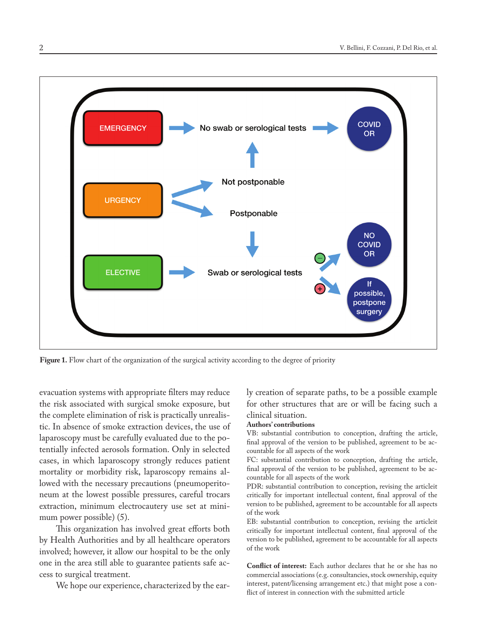

**Figure 1.** Flow chart of the organization of the surgical activity according to the degree of priority

evacuation systems with appropriate filters may reduce the risk associated with surgical smoke exposure, but the complete elimination of risk is practically unrealistic. In absence of smoke extraction devices, the use of laparoscopy must be carefully evaluated due to the potentially infected aerosols formation. Only in selected cases, in which laparoscopy strongly reduces patient mortality or morbidity risk, laparoscopy remains allowed with the necessary precautions (pneumoperitoneum at the lowest possible pressures, careful trocars extraction, minimum electrocautery use set at minimum power possible) (5).

This organization has involved great efforts both by Health Authorities and by all healthcare operators involved; however, it allow our hospital to be the only one in the area still able to guarantee patients safe access to surgical treatment.

We hope our experience, characterized by the ear-

ly creation of separate paths, to be a possible example for other structures that are or will be facing such a clinical situation.

## **Authors' contributions**

VB: substantial contribution to conception, drafting the article, final approval of the version to be published, agreement to be accountable for all aspects of the work

FC: substantial contribution to conception, drafting the article, final approval of the version to be published, agreement to be accountable for all aspects of the work

PDR: substantial contribution to conception, revising the articleit critically for important intellectual content, final approval of the version to be published, agreement to be accountable for all aspects of the work

EB: substantial contribution to conception, revising the articleit critically for important intellectual content, final approval of the version to be published, agreement to be accountable for all aspects of the work

**Conflict of interest:** Each author declares that he or she has no commercial associations (e.g. consultancies, stock ownership, equity interest, patent/licensing arrangement etc.) that might pose a conflict of interest in connection with the submitted article